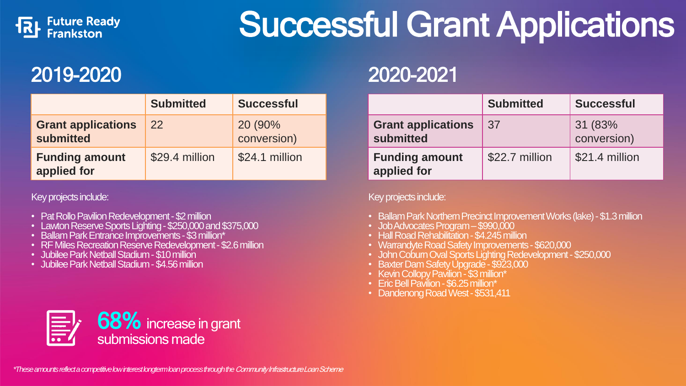

# Successful Grant Applications

|                                        | <b>Submitted</b> | <b>Successful</b>      |
|----------------------------------------|------------------|------------------------|
| <b>Grant applications</b><br>submitted | 22               | 20 (90%<br>conversion) |
| <b>Funding amount</b><br>applied for   | \$29.4 million   | \$24.1 million         |

Key projects include:

- Pat Rollo Pavilion Redevelopment \$2 million
- Lawton Reserve Sports Lighting \$250,000 and \$375,000
- Ballam Park Entrance Improvements \$3 million\*
- RF Miles Recreation Reserve Redevelopment -\$2.6 million
- Jubilee Park Netball Stadium \$10 million
- Jubilee Park Netball Stadium \$4.56 million

### 2019-2020 2020-2021

|                                        | <b>Submitted</b> | <b>Successful</b>      |
|----------------------------------------|------------------|------------------------|
| <b>Grant applications</b><br>submitted | 37               | 31 (83%<br>conversion) |
| <b>Funding amount</b><br>applied for   | \$22.7 million   | \$21.4 million         |

Key projects include:

- Ballam Park Northern Precinct Improvement Works (lake) \$1.3 million
- Job Advocates Program –\$990,000
- Hall Road Rehabilitation \$4.245 million
- Warrandyte Road Safety Improvements \$620,000
- John Cobum Oval Sports Lighting Redevelopment \$250,000
- Baxter Dam Safety Upgrade \$923,000
- Kevin Collopy Pavilion \$3 million\*
- Eric Bell Pavilion \$6.25 million\*
- Dandenong Road West \$531,411